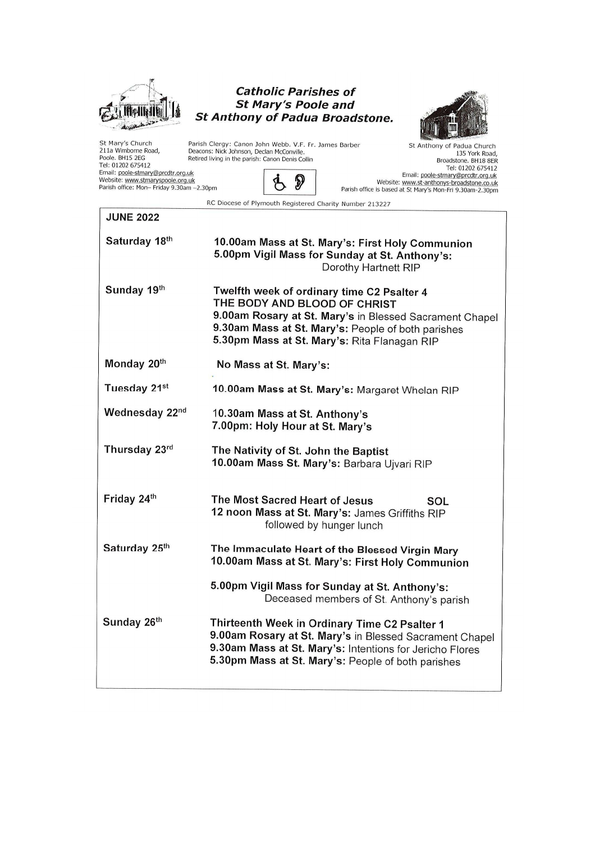

#### **Catholic Parishes of St Mary's Poole and St Anthony of Padua Broadstone.**



St Mary's Church<br>211a Wimborne Road,<br>Poole. BH15 2EG Feli: 01202 675412<br>Tel: 01202 675412<br>Email: <u>poole-stmary@prcdtr.org.uk</u><br>Website: <u>www.stmaryspoole.org.uk</u><br>Parish office: Mon- Friday 9.30am -2.30pm

**JUNE 2022** 

Parish Clergy: Canon John Webb. V.F. Fr. James Barber<br>Deacons: Nick Johnson, Declan McConville.<br>Retired living in the parish: Canon Denis Collin

 $\dot{\varphi}$ 

St Anthony of Padua Church 135 York Road,<br>Broadstone. BH18 8ER outwasturie. britis bext<br>Tel: 01202 675412<br>Email: <u>poole-stmary@prcdtr.org.uk</u><br>Website: <u>www.st-anthonys-broadstone.co.uk</u><br>Parish office is based at St Mary's Mon-Fri 9.30am-2.30pm

RC Diocese of Plymouth Registered Charity Number 213227

 $\mathcal{D}$ 

| 10.00am Mass at St. Mary's: First Holy Communion<br>5.00pm Vigil Mass for Sunday at St. Anthony's:<br>Dorothy Hartnett RIP                                                                                                                  |
|---------------------------------------------------------------------------------------------------------------------------------------------------------------------------------------------------------------------------------------------|
| Twelfth week of ordinary time C2 Psalter 4<br>THE BODY AND BLOOD OF CHRIST<br>9.00am Rosary at St. Mary's in Blessed Sacrament Chapel<br>9.30am Mass at St. Mary's: People of both parishes<br>5.30pm Mass at St. Mary's: Rita Flanagan RIP |
| No Mass at St. Mary's:                                                                                                                                                                                                                      |
| 10.00am Mass at St. Mary's: Margaret Whelan RIP                                                                                                                                                                                             |
| 10.30am Mass at St. Anthony's<br>7.00pm: Holy Hour at St. Mary's                                                                                                                                                                            |
| The Nativity of St. John the Baptist<br>10.00am Mass St. Mary's: Barbara Ujvari RIP                                                                                                                                                         |
| The Most Sacred Heart of Jesus<br>SOL<br>12 noon Mass at St. Mary's: James Griffiths RIP<br>followed by hunger lunch                                                                                                                        |
| The Immaculate Heart of the Blessed Virgin Mary<br>10.00am Mass at St. Mary's: First Holy Communion                                                                                                                                         |
| 5.00pm Vigil Mass for Sunday at St. Anthony's:<br>Deceased members of St. Anthony's parish                                                                                                                                                  |
| Thirteenth Week in Ordinary Time C2 Psalter 1<br>9.00am Rosary at St. Mary's in Blessed Sacrament Chapel<br>9.30am Mass at St. Mary's: Intentions for Jericho Flores<br>5.30pm Mass at St. Mary's: People of both parishes                  |
|                                                                                                                                                                                                                                             |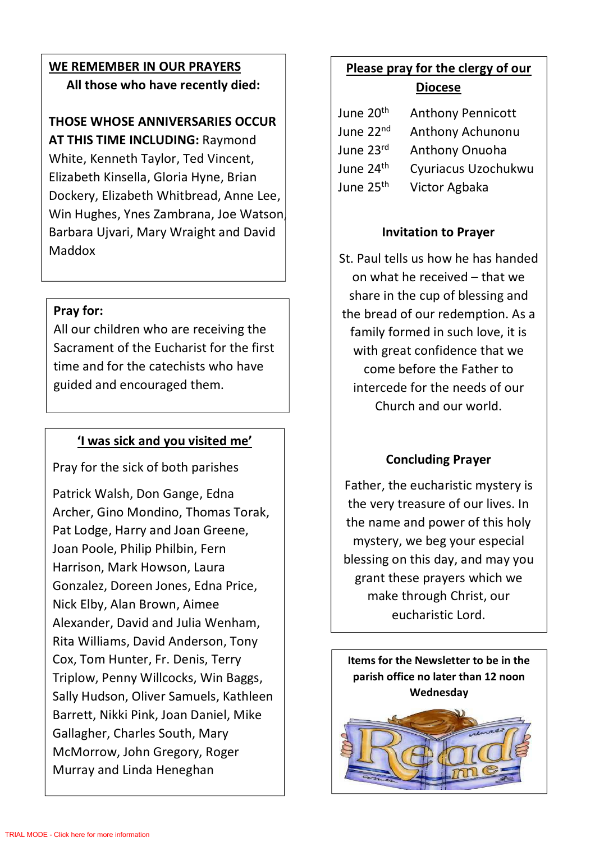## **WE REMEMBER IN OUR PRAYERS All those who have recently died:**

# **THOSE WHOSE ANNIVERSARIES OCCUR**

**AT THIS TIME INCLUDING:** Raymond White, Kenneth Taylor, Ted Vincent, Elizabeth Kinsella, Gloria Hyne, Brian Dockery, Elizabeth Whitbread, Anne Lee, Win Hughes, Ynes Zambrana, Joe Watson, Barbara Ujvari, Mary Wraight and David Maddox

## **Pray for:**

All our children who are receiving the Sacrament of the Eucharist for the first time and for the catechists who have guided and encouraged them.

## **'I was sick and you visited me'**

Pray for the sick of both parishes

Patrick Walsh, Don Gange, Edna Archer, Gino Mondino, Thomas Torak, Pat Lodge, Harry and Joan Greene, Joan Poole, Philip Philbin, Fern Harrison, Mark Howson, Laura Gonzalez, Doreen Jones, Edna Price, Nick Elby, Alan Brown, Aimee Alexander, David and Julia Wenham, Rita Williams, David Anderson, Tony Cox, Tom Hunter, Fr. Denis, Terry Triplow, Penny Willcocks, Win Baggs, Sally Hudson, Oliver Samuels, Kathleen Barrett, Nikki Pink, Joan Daniel, Mike Gallagher, Charles South, Mary McMorrow, John Gregory, Roger Murray and Linda Heneghan

## **Please pray for the clergy of our Diocese**

| June 20 <sup>th</sup> | <b>Anthony Pennicott</b> |
|-----------------------|--------------------------|
| June 22 <sup>nd</sup> | Anthony Achunonu         |
| June 23rd             | Anthony Onuoha           |
| June 24 <sup>th</sup> | Cyuriacus Uzochukwu      |
| June 25 <sup>th</sup> | Victor Agbaka            |

## **Invitation to Prayer**

St. Paul tells us how he has handed on what he received – that we share in the cup of blessing and the bread of our redemption. As a family formed in such love, it is with great confidence that we come before the Father to intercede for the needs of our Church and our world.

## **Concluding Prayer**

Father, the eucharistic mystery is the very treasure of our lives. In the name and power of this holy mystery, we beg your especial blessing on this day, and may you grant these prayers which we make through Christ, our eucharistic Lord.

**Items for the Newsletter to be in the parish office no later than 12 noon Wednesday** 

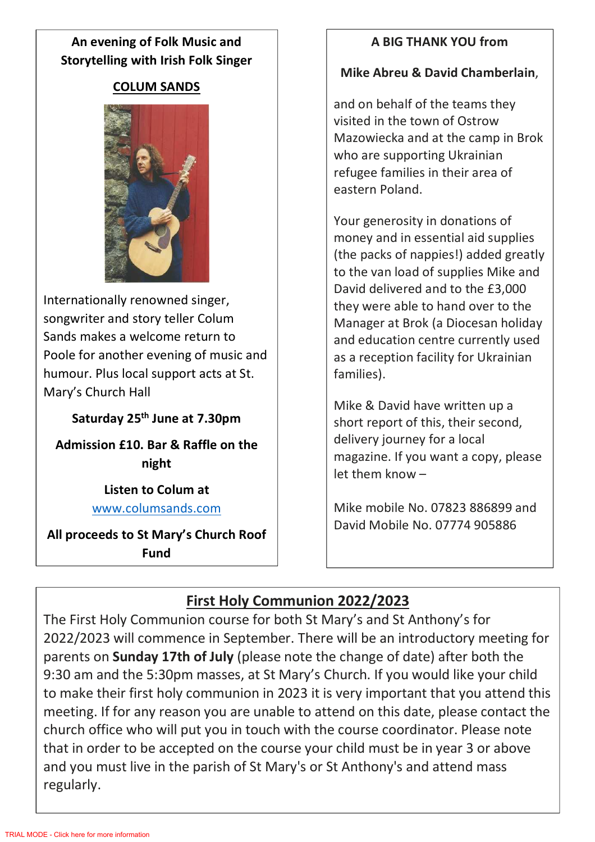## **An evening of Folk Music and Storytelling with Irish Folk Singer**

### **COLUM SANDS**



Internationally renowned singer, songwriter and story teller Colum Sands makes a welcome return to Poole for another evening of music and humour. Plus local support acts at St. Mary's Church Hall

**Saturday 25th June at 7.30pm** 

**Admission £10. Bar & Raffle on the night** 

> **Listen to Colum at** www.columsands.com

**All proceeds to St Mary's Church Roof Fund** 

## **A BIG THANK YOU from**

#### **Mike Abreu & David Chamberlain**,

and on behalf of the teams they visited in the town of Ostrow Mazowiecka and at the camp in Brok who are supporting Ukrainian refugee families in their area of eastern Poland.

Your generosity in donations of money and in essential aid supplies (the packs of nappies!) added greatly to the van load of supplies Mike and David delivered and to the £3,000 they were able to hand over to the Manager at Brok (a Diocesan holiday and education centre currently used as a reception facility for Ukrainian families).

Mike & David have written up a short report of this, their second, delivery journey for a local magazine. If you want a copy, please let them know –

Mike mobile No. 07823 886899 and David Mobile No. 07774 905886

## **First Holy Communion 2022/2023**

The First Holy Communion course for both St Mary's and St Anthony's for 2022/2023 will commence in September. There will be an introductory meeting for parents on **Sunday 17th of July** (please note the change of date) after both the 9:30 am and the 5:30pm masses, at St Mary's Church. If you would like your child to make their first holy communion in 2023 it is very important that you attend this meeting. If for any reason you are unable to attend on this date, please contact the church office who will put you in touch with the course coordinator. Please note that in order to be accepted on the course your child must be in year 3 or above and you must live in the parish of St Mary's or St Anthony's and attend mass regularly.